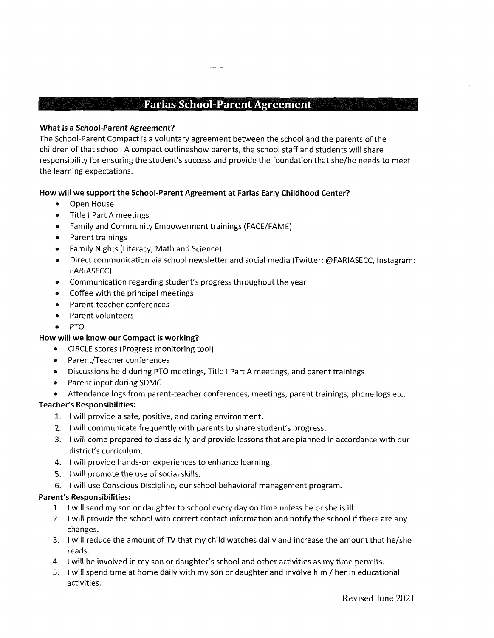## **Farias School-Parent Agreement**

### **What is a School-Parent Agreement?**

The School-Parent Compact is a voluntary agreement between the school and the parents of the children ofthat school. A compact outlineshow parents, the school staff and students will share responsibility for ensuring the student's success and provide the foundation that she/he needs to meet the learning expectations.

### **How will we support the School-Parent Agreement at Farias Early Childhood Center?**

- Open House
- Title I Part A meetings
- Family and Community Empowerment trainings (FACE/FAME)
- Parent trainings
- ® Family Nights (Literacy, Math and Science)
- ® Direct communication via school newsletter and social media (Twitter: @FARIASECC, Instagram: FARIASECC)
- Communication regarding student's progress throughout the year
- Coffee with the principal meetings
- Parent-teacher conferences
- a Parent volunteers
- a PTO

### **How will we know our Compact is working?**

- ® CIRCLE scores (Progress monitoring tool)
- a Parent/Teacher conferences
- « Discussions held during PTO meetings. Title <sup>I</sup> Part A meetings, and parent trainings
- ® Parent input during SDMC
- ® Attendance logs from parent-teacher conferences, meetings, parent trainings, phone logs etc.

### **Teacher's Responsibilities:**

- 1. <sup>I</sup> will provide a safe, positive, and caring environment.
- 2. <sup>I</sup> will communicate frequently with parents to share student's progress.
- 3. <sup>I</sup> will come prepared to class daily and provide lessons that are planned in accordance with our district's curriculum.
- 4. <sup>I</sup> will provide hands-on experiences to enhance learning.
- 5. <sup>I</sup> will promote the use of social skills.
- 6. <sup>I</sup> will use Conscious Discipline, our school behavioral management program.

### **Parent's Responsibilities:**

- 1. <sup>I</sup> will send my son or daughter to school every day on time unless he or she is ill.
- 2. I will provide the school with correct contact information and notify the school if there are any changes.
- 3. <sup>I</sup> will reduce the amount of TV that my child watches daily and increase the amount that he/she reads.
- 4. <sup>I</sup> will be involved in my son or daughter's school and other activities as my time permits.
- 5. <sup>I</sup> will spend time at home daily with my son or daughter and involve him / her in educational activities.